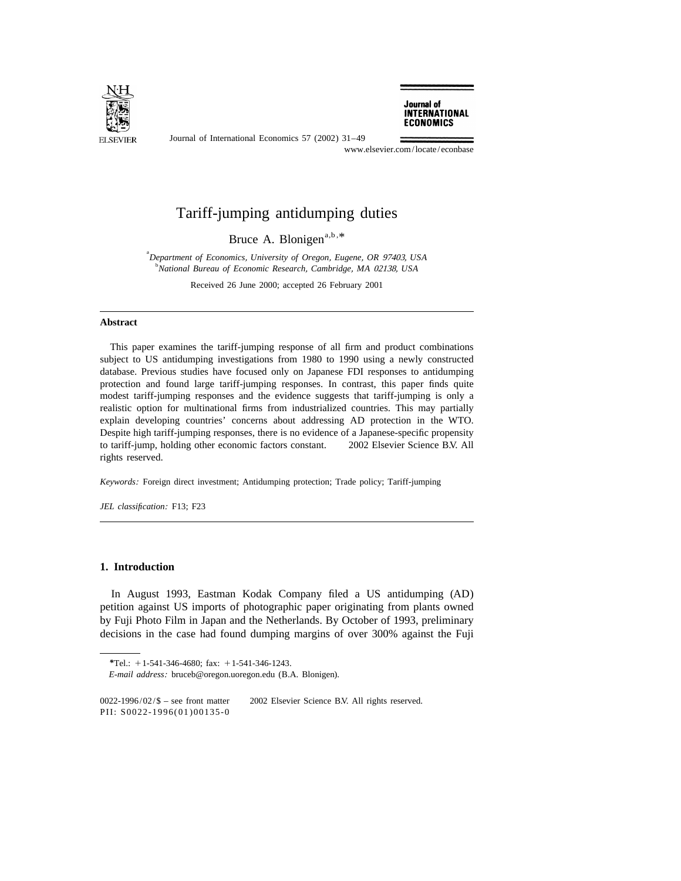

Journal of International Economics 57 (2002) 31–49

Journal of **INTERNATIONAL ECONOMICS** 

www.elsevier.com/locate/econbase

## Tariff-jumping antidumping duties

Bruce A. Blonigen<sup>a,b, $*$ </sup>

a *Department of Economics*, *University of Oregon*, *Eugene*, *OR* 97403, *USA* b *National Bureau of Economic Research*, *Cambridge*, *MA* 02138, *USA*

Received 26 June 2000; accepted 26 February 2001

## **Abstract**

This paper examines the tariff-jumping response of all firm and product combinations subject to US antidumping investigations from 1980 to 1990 using a newly constructed database. Previous studies have focused only on Japanese FDI responses to antidumping protection and found large tariff-jumping responses. In contrast, this paper finds quite modest tariff-jumping responses and the evidence suggests that tariff-jumping is only a realistic option for multinational firms from industrialized countries. This may partially explain developing countries' concerns about addressing AD protection in the WTO. Despite high tariff-jumping responses, there is no evidence of a Japanese-specific propensity to tariff-jump, holding other economic factors constant.  $\circ$  2002 Elsevier Science B.V. All rights reserved.

*Keywords*: Foreign direct investment; Antidumping protection; Trade policy; Tariff-jumping

*JEL classification*: F13; F23

## **1. Introduction**

In August 1993, Eastman Kodak Company filed a US antidumping (AD) petition against US imports of photographic paper originating from plants owned by Fuji Photo Film in Japan and the Netherlands. By October of 1993, preliminary decisions in the case had found dumping margins of over 300% against the Fuji

<sup>\*</sup>Tel.: +1-541-346-4680; fax: +1-541-346-1243.

*E*-*mail address*: bruceb@oregon.uoregon.edu (B.A. Blonigen).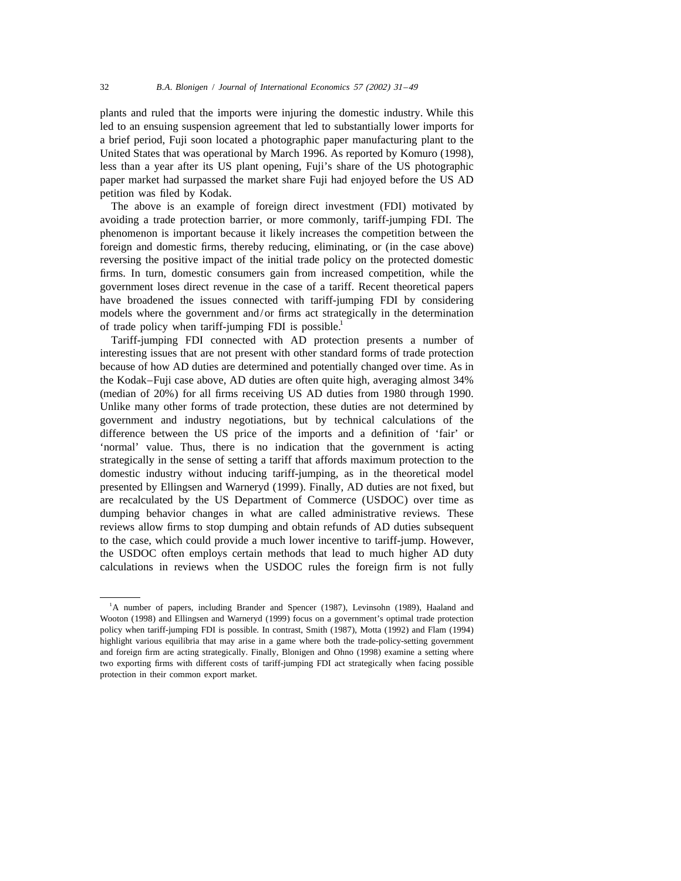plants and ruled that the imports were injuring the domestic industry. While this led to an ensuing suspension agreement that led to substantially lower imports for a brief period, Fuji soon located a photographic paper manufacturing plant to the United States that was operational by March 1996. As reported by Komuro (1998), less than a year after its US plant opening, Fuji's share of the US photographic paper market had surpassed the market share Fuji had enjoyed before the US AD petition was filed by Kodak.

The above is an example of foreign direct investment (FDI) motivated by avoiding a trade protection barrier, or more commonly, tariff-jumping FDI. The phenomenon is important because it likely increases the competition between the foreign and domestic firms, thereby reducing, eliminating, or (in the case above) reversing the positive impact of the initial trade policy on the protected domestic firms. In turn, domestic consumers gain from increased competition, while the government loses direct revenue in the case of a tariff. Recent theoretical papers have broadened the issues connected with tariff-jumping FDI by considering models where the government and/or firms act strategically in the determination of trade policy when tariff-jumping FDI is possible.<sup>1</sup>

Tariff-jumping FDI connected with AD protection presents a number of interesting issues that are not present with other standard forms of trade protection because of how AD duties are determined and potentially changed over time. As in the Kodak–Fuji case above, AD duties are often quite high, averaging almost 34% (median of 20%) for all firms receiving US AD duties from 1980 through 1990. Unlike many other forms of trade protection, these duties are not determined by government and industry negotiations, but by technical calculations of the difference between the US price of the imports and a definition of 'fair' or 'normal' value. Thus, there is no indication that the government is acting strategically in the sense of setting a tariff that affords maximum protection to the domestic industry without inducing tariff-jumping, as in the theoretical model presented by Ellingsen and Warneryd (1999). Finally, AD duties are not fixed, but are recalculated by the US Department of Commerce (USDOC) over time as dumping behavior changes in what are called administrative reviews. These reviews allow firms to stop dumping and obtain refunds of AD duties subsequent to the case, which could provide a much lower incentive to tariff-jump. However, the USDOC often employs certain methods that lead to much higher AD duty calculations in reviews when the USDOC rules the foreign firm is not fully

<sup>&</sup>lt;sup>1</sup>A number of papers, including Brander and Spencer (1987), Levinsohn (1989), Haaland and Wooton (1998) and Ellingsen and Warneryd (1999) focus on a government's optimal trade protection policy when tariff-jumping FDI is possible. In contrast, Smith (1987), Motta (1992) and Flam (1994) highlight various equilibria that may arise in a game where both the trade-policy-setting government and foreign firm are acting strategically. Finally, Blonigen and Ohno (1998) examine a setting where two exporting firms with different costs of tariff-jumping FDI act strategically when facing possible protection in their common export market.